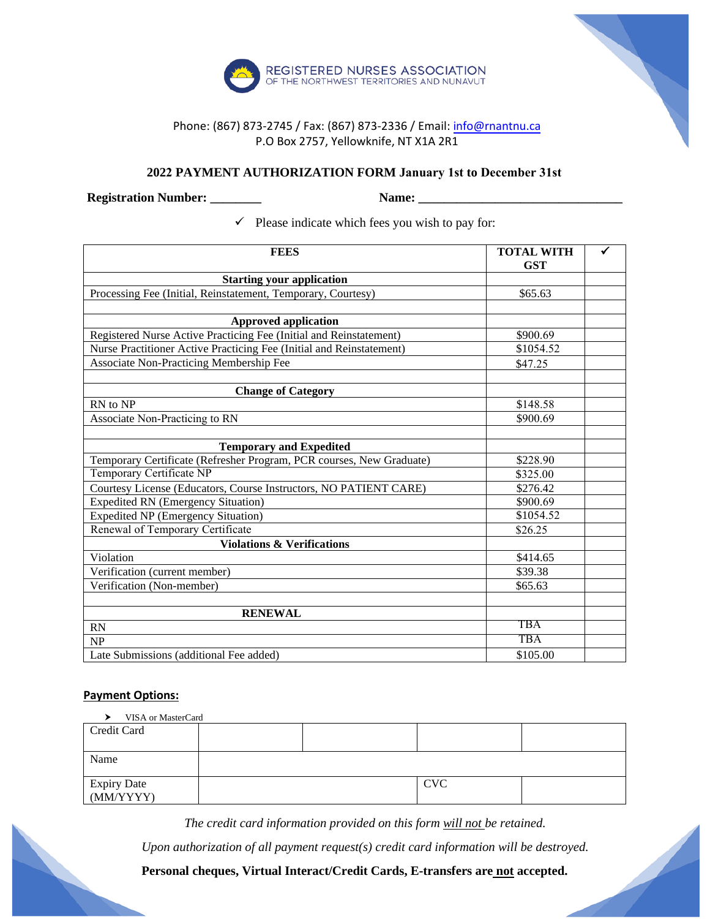

## Phone: (867) 873-2745 / Fax: (867) 873-2336 / Em[ail: info@rnantnu.c](mailto:info@rnantnu.ca)a P.O Box 2757, Yellowknife, NT X1A 2R1

## **2022 PAYMENT AUTHORIZATION FORM January 1st to December 31st**

**Registration Number: \_\_\_\_\_\_\_\_ Name: \_\_\_\_\_\_\_\_\_\_\_\_\_\_\_\_\_\_\_\_\_\_\_\_\_\_\_\_\_\_\_\_**

 $\checkmark$  Please indicate which fees you wish to pay for:

| <b>FEES</b>                                                          | <b>TOTAL WITH</b><br><b>GST</b> |  |
|----------------------------------------------------------------------|---------------------------------|--|
| <b>Starting your application</b>                                     |                                 |  |
| Processing Fee (Initial, Reinstatement, Temporary, Courtesy)         | \$65.63                         |  |
|                                                                      |                                 |  |
| <b>Approved application</b>                                          |                                 |  |
| Registered Nurse Active Practicing Fee (Initial and Reinstatement)   | \$900.69                        |  |
| Nurse Practitioner Active Practicing Fee (Initial and Reinstatement) | \$1054.52                       |  |
| Associate Non-Practicing Membership Fee                              | \$47.25                         |  |
|                                                                      |                                 |  |
| <b>Change of Category</b>                                            |                                 |  |
| RN to NP                                                             | \$148.58                        |  |
| Associate Non-Practicing to RN                                       | \$900.69                        |  |
|                                                                      |                                 |  |
| <b>Temporary and Expedited</b>                                       |                                 |  |
| Temporary Certificate (Refresher Program, PCR courses, New Graduate) | \$228.90                        |  |
| Temporary Certificate NP                                             | \$325.00                        |  |
| Courtesy License (Educators, Course Instructors, NO PATIENT CARE)    | \$276.42                        |  |
| <b>Expedited RN (Emergency Situation)</b>                            | \$900.69                        |  |
| <b>Expedited NP (Emergency Situation)</b>                            | \$1054.52                       |  |
| Renewal of Temporary Certificate                                     | \$26.25                         |  |
| <b>Violations &amp; Verifications</b>                                |                                 |  |
| Violation                                                            | \$414.65                        |  |
| Verification (current member)                                        | \$39.38                         |  |
| Verification (Non-member)                                            | \$65.63                         |  |
|                                                                      |                                 |  |
| <b>RENEWAL</b>                                                       |                                 |  |
| <b>RN</b>                                                            | TBA                             |  |
| NP                                                                   | <b>TBA</b>                      |  |
| Late Submissions (additional Fee added)                              | \$105.00                        |  |

## **Payment Options:**

| VISA or MasterCard       |  |  |            |  |  |
|--------------------------|--|--|------------|--|--|
| Credit Card              |  |  |            |  |  |
|                          |  |  |            |  |  |
| Name                     |  |  |            |  |  |
|                          |  |  |            |  |  |
| Expiry Date<br>(MM/YYYY) |  |  | <b>CVC</b> |  |  |
|                          |  |  |            |  |  |

*The credit card information provided on this form will not be retained.*

*Upon authorization of all payment request(s) credit card information will be destroyed.* 

**Personal cheques, Virtual Interact/Credit Cards, E-transfers are not accepted.**